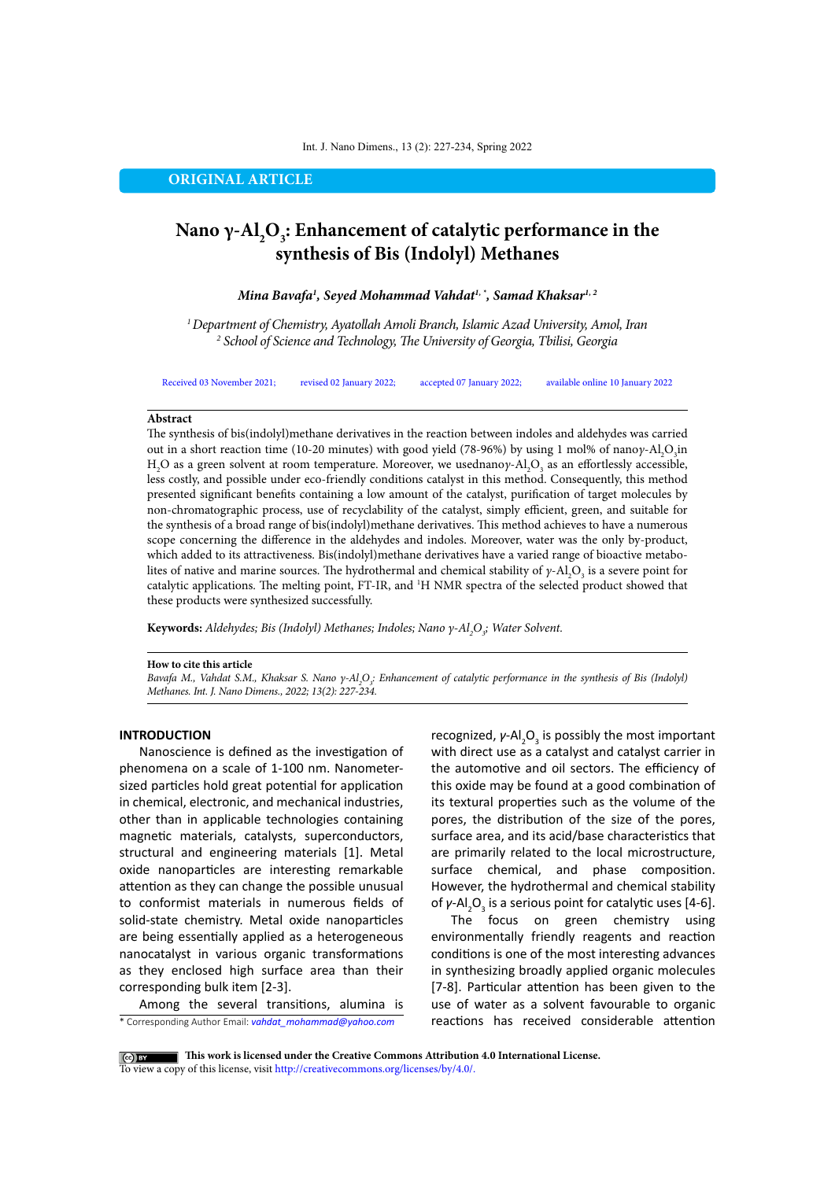#### Int. J. Nano Dimens., 13 (2): 227-234, Spring 2022

## **ORIGINAL ARTICLE**

# **Nano γ-Al<sub>2</sub>O<sub>3</sub>: Enhancement of catalytic performance in the synthesis of Bis (Indolyl) Methanes**

*Mina Bavafa1 , Seyed Mohammad Vahdat1, \*, Samad Khaksar1, 2*

*1 Department of Chemistry, Ayatollah Amoli Branch, Islamic Azad University, Amol, Iran 2 School of Science and Technology, The University of Georgia, Tbilisi, Georgia*

Received 03 November 2021; revised 02 January 2022; accepted 07 January 2022; available online 10 January 2022

## **Abstract**

The synthesis of bis(indolyl)methane derivatives in the reaction between indoles and aldehydes was carried out in a short reaction time (10-20 minutes) with good yield (78-96%) by using 1 mol% of nano*γ*-Al<sub>2</sub>O<sub>3</sub>in H<sub>2</sub>O as a green solvent at room temperature. Moreover, we usednano $\gamma$ -Al<sub>2</sub>O<sub>3</sub> as an effortlessly accessible, less costly, and possible under eco-friendly conditions catalyst in this method. Consequently, this method presented significant benefits containing a low amount of the catalyst, purification of target molecules by non-chromatographic process, use of recyclability of the catalyst, simply efficient, green, and suitable for the synthesis of a broad range of bis(indolyl)methane derivatives. This method achieves to have a numerous scope concerning the difference in the aldehydes and indoles. Moreover, water was the only by-product, which added to its attractiveness. Bis(indolyl)methane derivatives have a varied range of bioactive metabolites of native and marine sources. The hydrothermal and chemical stability of  $\gamma$ -Al<sub>2</sub>O<sub>3</sub> is a severe point for catalytic applications. The melting point, FT-IR, and <sup>1</sup>H NMR spectra of the selected product showed that these products were synthesized successfully.

**Keywords:** Aldehydes; Bis (Indolyl) Methanes; Indoles; Nano γ-Al<sub>2</sub>O<sub>3</sub>; Water Solvent.

## **How to cite this article**

*Bavafa M., Vahdat S.M., Khaksar S. Nano γ-Al<sub>2</sub>O<sub>3</sub>: Enhancement of catalytic performance in the synthesis of Bis (Indolyl) Methanes. Int. J. Nano Dimens., 2022; 13(2): 227-234.* 

## **INTRODUCTION**

Nanoscience is defined as the investigation of phenomena on a scale of 1-100 nm. Nanometersized particles hold great potential for application in chemical, electronic, and mechanical industries, other than in applicable technologies containing magnetic materials, catalysts, superconductors, structural and engineering materials [1]. Metal oxide nanoparticles are interesting remarkable attention as they can change the possible unusual to conformist materials in numerous fields of solid-state chemistry. Metal oxide nanoparticles are being essentially applied as a heterogeneous nanocatalyst in various organic transformations as they enclosed high surface area than their corresponding bulk item [2-3].

\* Corresponding Author Email: *vahdat\_mohammad@yahoo.com* Among the several transitions, alumina is recognized, *γ*-Al<sub>2</sub>O<sub>3</sub> is possibly the most important with direct use as a catalyst and catalyst carrier in the automotive and oil sectors. The efficiency of this oxide may be found at a good combination of its textural properties such as the volume of the pores, the distribution of the size of the pores, surface area, and its acid/base characteristics that are primarily related to the local microstructure, surface chemical, and phase composition. However, the hydrothermal and chemical stability of *γ*-Al<sub>2</sub>O<sub>3</sub> is a serious point for catalytic uses [4-6].

The focus on green chemistry using environmentally friendly reagents and reaction conditions is one of the most interesting advances in synthesizing broadly applied organic molecules [7-8]. Particular attention has been given to the use of water as a solvent favourable to organic reactions has received considerable attention

**This work is licensed under the Creative Commons Attribution 4.0 International License.** To view a copy of this license, visit<http://creativecommons.org/licenses/by/4.0/.>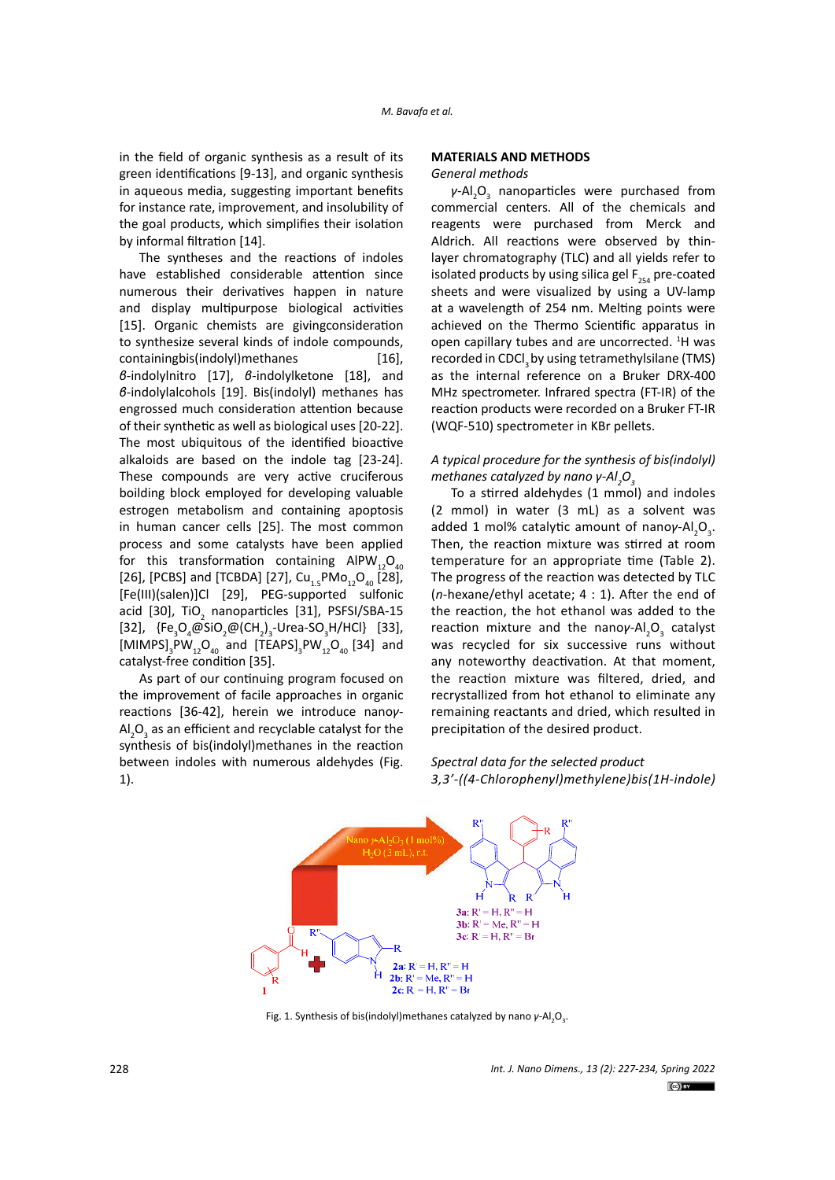in the field of organic synthesis as a result of its green identifications [9-13], and organic synthesis in aqueous media, suggesting important benefits for instance rate, improvement, and insolubility of the goal products, which simplifies their isolation by informal filtration [14].

The syntheses and the reactions of indoles have established considerable attention since numerous their derivatives happen in nature and display multipurpose biological activities [15]. Organic chemists are givingconsideration to synthesize several kinds of indole compounds, containingbis(indolyl)methanes [16], *β*-indolylnitro [17], *β*-indolylketone [18], and *β*-indolylalcohols [19]. Bis(indolyl) methanes has engrossed much consideration attention because of their synthetic as well as biological uses [20-22]. The most ubiquitous of the identified bioactive alkaloids are based on the indole tag [23-24]. These compounds are very active cruciferous boilding block employed for developing valuable estrogen metabolism and containing apoptosis in human cancer cells [25]. The most common process and some catalysts have been applied for this transformation containing  $AIPW_{42}O_{40}$ [26], [PCBS] and [TCBDA] [27], Cu<sub>1.5</sub>PMo<sub>12</sub>O<sub>40</sub> [28], [Fe(III)(salen)]Cl [29], PEG-supported sulfonic acid [30], TiO<sub>2</sub> nanoparticles [31], PSFSI/SBA-15 [32],  ${Fe_{3}O_{4}@SiO_{2}@(CH_{2})_{3}}$ -Urea-SO<sub>3</sub>H/HCl} [33],  $[MIMPS]_{3}PW_{12}O_{40}$  and  $[TEAPS]_{3}PW_{12}O_{40}$  [34] and catalyst-free condition [35].

As part of our continuing program focused on the improvement of facile approaches in organic reactions [36-42], herein we introduce nano*γ*- $\mathsf{Al}_2\mathsf{O}_3$  as an efficient and recyclable catalyst for the synthesis of bis(indolyl)methanes in the reaction between indoles with numerous aldehydes (Fig. 1).

## **MATERIALS AND METHODS**

### *General methods*

*γ*-Al<sub>2</sub>O<sub>3</sub> nanoparticles were purchased from commercial centers. All of the chemicals and reagents were purchased from Merck and Aldrich. All reactions were observed by thinlayer chromatography (TLC) and all yields refer to isolated products by using silica gel  $F_{254}$  pre-coated sheets and were visualized by using a UV-lamp at a wavelength of 254 nm. Melting points were achieved on the Thermo Scientific apparatus in open capillary tubes and are uncorrected. <sup>1</sup>H was recorded in CDCl<sub>3</sub> by using tetramethylsilane (TMS) as the internal reference on a Bruker DRX‐400 MHz spectrometer. Infrared spectra (FT-IR) of the reaction products were recorded on a Bruker FT-IR (WQF-510) spectrometer in KBr pellets.

## *A typical procedure for the synthesis of bis(indolyl) methanes catalyzed by nano γ-Al<sub>2</sub>O*<sub>3</sub>

To a stirred aldehydes (1 mmol) and indoles (2 mmol) in water (3 mL) as a solvent was added 1 mol% catalytic amount of nanoγ-Al<sub>2</sub>O<sub>3</sub>. Then, the reaction mixture was stirred at room temperature for an appropriate time (Table 2). The progress of the reaction was detected by TLC (*n*-hexane/ethyl acetate; 4 : 1). After the end of the reaction, the hot ethanol was added to the reaction mixture and the nanoγ-Al<sub>2</sub>O<sub>3</sub> catalyst was recycled for six successive runs without any noteworthy deactivation. At that moment, the reaction mixture was filtered, dried, and recrystallized from hot ethanol to eliminate any remaining reactants and dried, which resulted in precipitation of the desired product.

## *Spectral data for the selected product 3,3'-((4-Chlorophenyl)methylene)bis(1H-indole)*



**Fig. 1.** Synthesis of bis(indolyl)methanes catalyzed by nano *γ*-Al2O3. Fig. 1. Synthesis of bis(indolyl)methanes catalyzed by nano *γ*-Al<sub>2</sub>O<sub>3</sub>.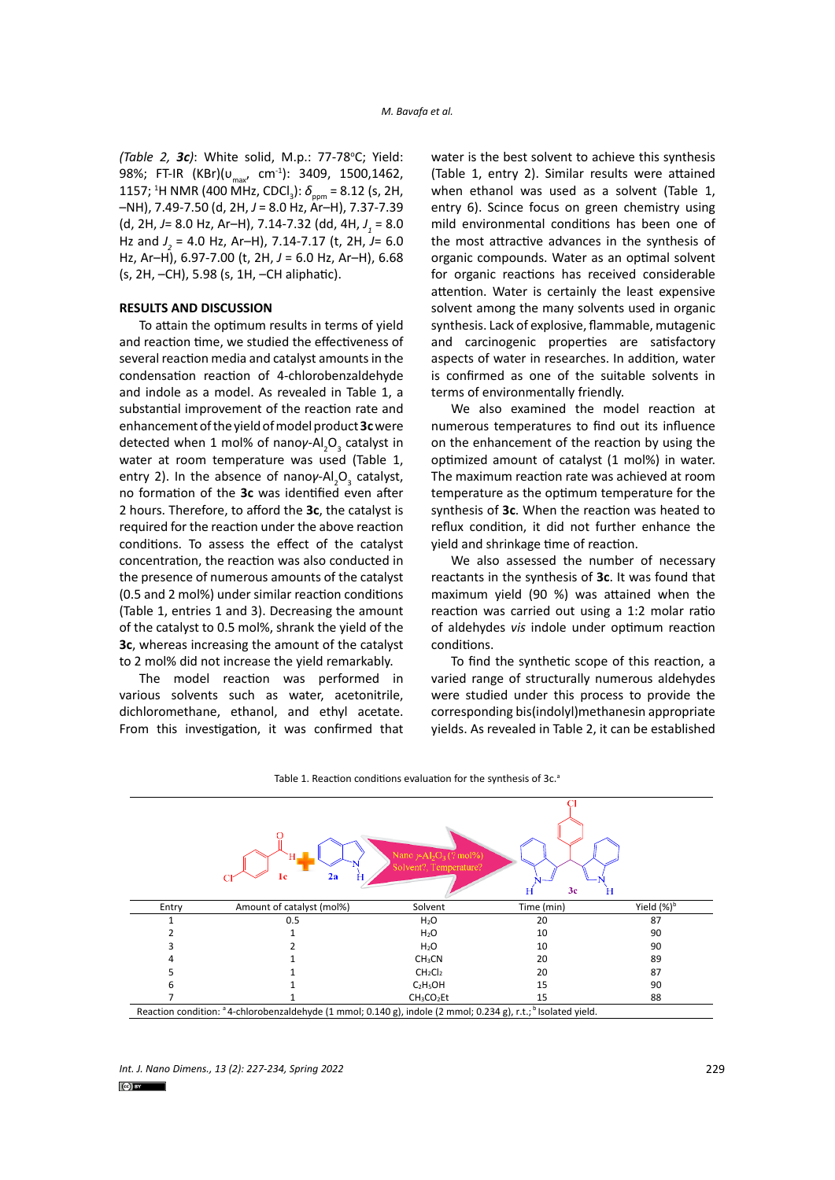*(Table 2, 3c)*: White solid, M.p.: 77-78°C; Yield: 98%; FT-IR (KBr)(υ<sub>max</sub>, cm<sup>-1</sup>): 3409, 1500,1462, 1157; <sup>1</sup>H NMR (400 MHz, CDCl<sub>3</sub>): δ<sub>ppm</sub> = 8.12 (s, 2H, –NH), 7.49-7.50 (d, 2H, *J* = 8.0 Hz, Ar–H), 7.37-7.39 (d, 2H, *J*= 8.0 Hz, Ar–H), 7.14-7.32 (dd, 4H, *J 1* = 8.0 Hz and *J 2* = 4.0 Hz, Ar–H), 7.14-7.17 (t, 2H, *J*= 6.0 Hz, Ar–H), 6.97-7.00 (t, 2H, *J* = 6.0 Hz, Ar–H), 6.68 (s, 2H, –CH), 5.98 (s, 1H, –CH aliphatic).

## **RESULTS AND DISCUSSION**

To attain the optimum results in terms of yield and reaction time, we studied the effectiveness of several reaction media and catalyst amounts in the condensation reaction of 4-chlorobenzaldehyde and indole as a model. As revealed in Table 1, a substantial improvement of the reaction rate and enhancement of the yield of model product **3c** were detected when 1 mol% of nanoγ-Al<sub>2</sub>O<sub>3</sub> catalyst in water at room temperature was used (Table 1, entry 2). In the absence of nanoγ-Al<sub>2</sub>O<sub>3</sub> catalyst, no formation of the **3c** was identified even after 2 hours. Therefore, to afford the **3c**, the catalyst is required for the reaction under the above reaction conditions. To assess the effect of the catalyst concentration, the reaction was also conducted in the presence of numerous amounts of the catalyst (0.5 and 2 mol%) under similar reaction conditions (Table 1, entries 1 and 3). Decreasing the amount of the catalyst to 0.5 mol%, shrank the yield of the **3c**, whereas increasing the amount of the catalyst to 2 mol% did not increase the yield remarkably.

The model reaction was performed in various solvents such as water, acetonitrile, dichloromethane, ethanol, and ethyl acetate. From this investigation, it was confirmed that water is the best solvent to achieve this synthesis (Table 1, entry 2). Similar results were attained when ethanol was used as a solvent (Table 1, entry 6). Scince focus on green chemistry using mild environmental conditions has been one of the most attractive advances in the synthesis of organic compounds. Water as an optimal solvent for organic reactions has received considerable attention. Water is certainly the least expensive solvent among the many solvents used in organic synthesis. Lack of explosive, flammable, mutagenic and carcinogenic properties are satisfactory aspects of water in researches. In addition, water is confirmed as one of the suitable solvents in terms of environmentally friendly.

We also examined the model reaction at numerous temperatures to find out its influence on the enhancement of the reaction by using the optimized amount of catalyst (1 mol%) in water. The maximum reaction rate was achieved at room temperature as the optimum temperature for the synthesis of **3c**. When the reaction was heated to reflux condition, it did not further enhance the yield and shrinkage time of reaction.

We also assessed the number of necessary reactants in the synthesis of **3c**. It was found that maximum yield (90 %) was attained when the reaction was carried out using a 1:2 molar ratio of aldehydes *vis* indole under optimum reaction conditions.

To find the synthetic scope of this reaction, a varied range of structurally numerous aldehydes were studied under this process to provide the corresponding bis(indolyl)methanesin appropriate yields. As revealed in Table 2, it can be established



Table 1. Reaction conditions evaluation for the synthesis of 3c.<sup>a</sup>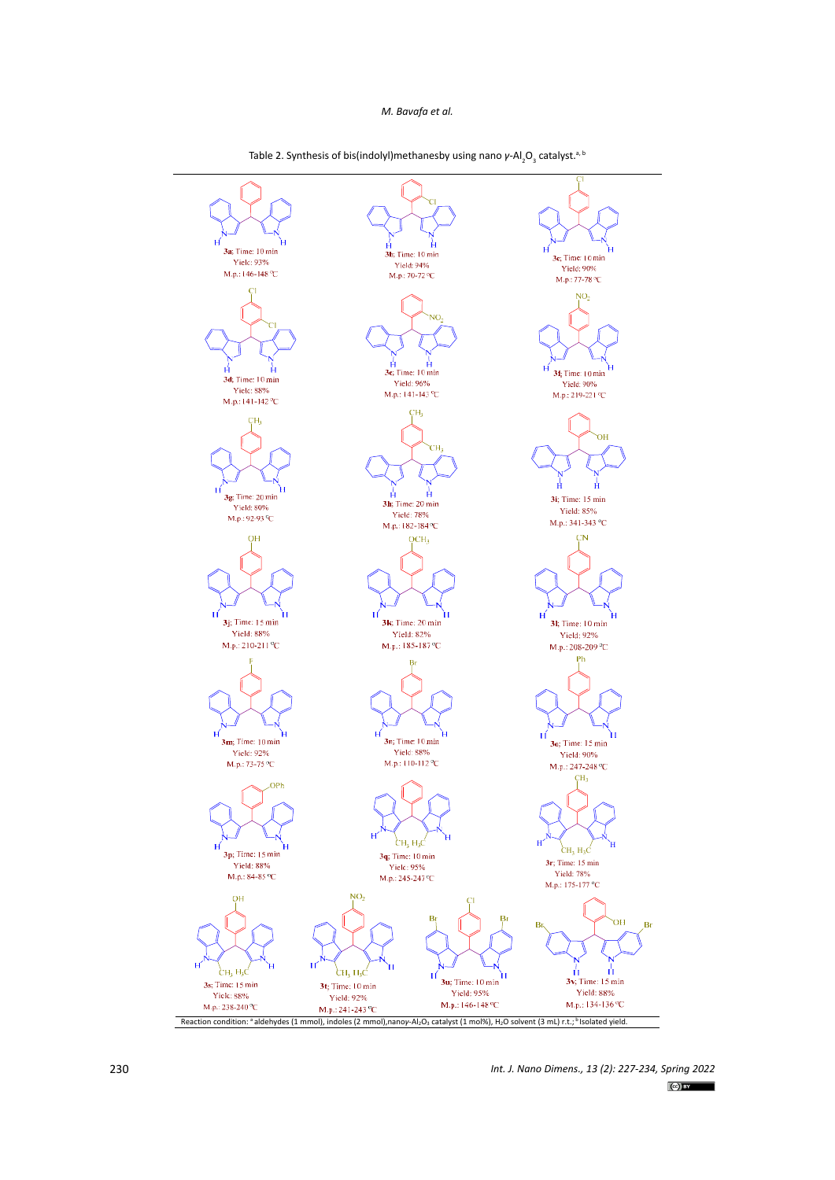

Table 2. Synthesis of bis(indolyl)methanesby using nano *γ*-Al<sub>2</sub>O<sub>3</sub> catalyst.<sup>a, t</sup>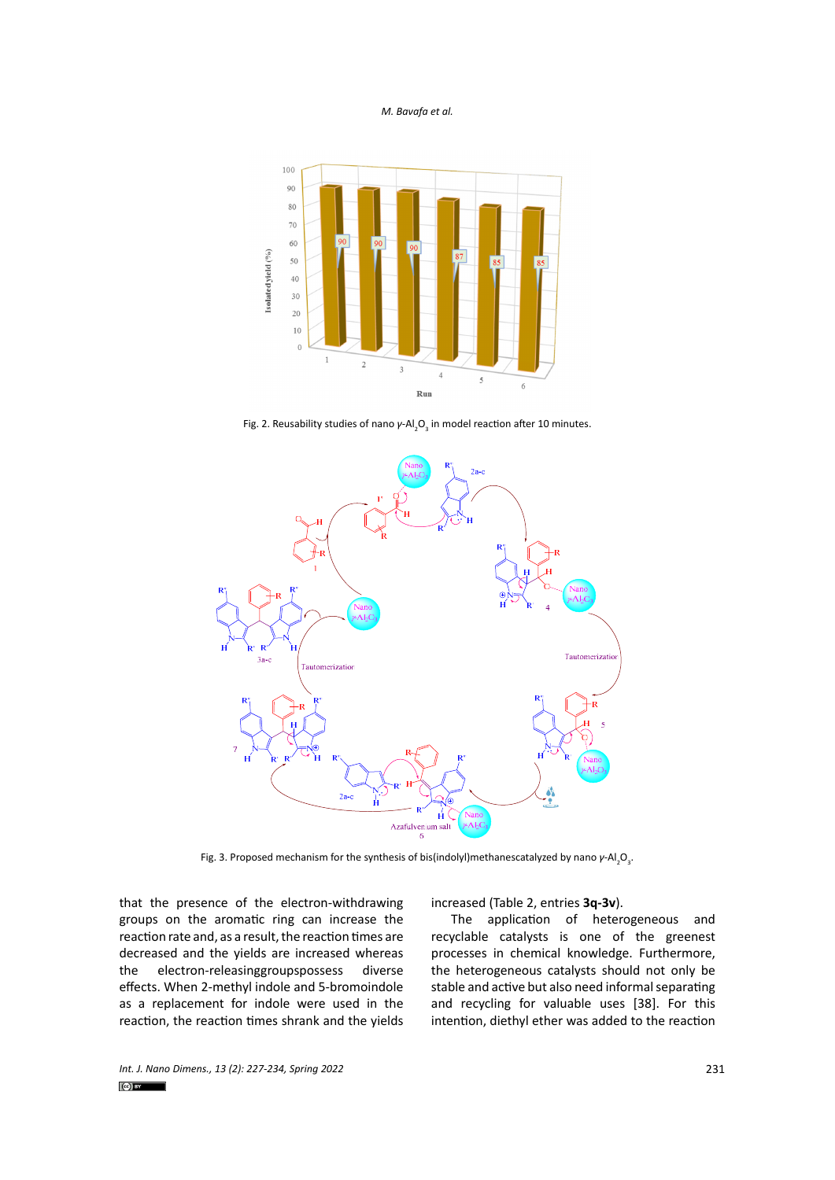

Fig. 2. Reusability studies of nano *γ*-Al<sub>2</sub>O<sub>3</sub> in model reaction after 10 minutes.



Fig. 3. Proposed mechanism for the synthesis of bis(indolyl)methanescatalyzed by nano *γ*-Al<sub>2</sub>O<sub>3</sub>.

that the presence of the electron-withdrawing groups on the aromatic ring can increase the reaction rate and, as a result, the reaction times are decreased and the yields are increased whereas the electron-releasinggroupspossess diverse effects. When 2-methyl indole and 5-bromoindole as a replacement for indole were used in the reaction, the reaction times shrank and the yields increased (Table 2, entries **3q-3v**).

The application of heterogeneous and recyclable catalysts is one of the greenest processes in chemical knowledge. Furthermore, the heterogeneous catalysts should not only be stable and active but also need informal separating and recycling for valuable uses [38]. For this intention, diethyl ether was added to the reaction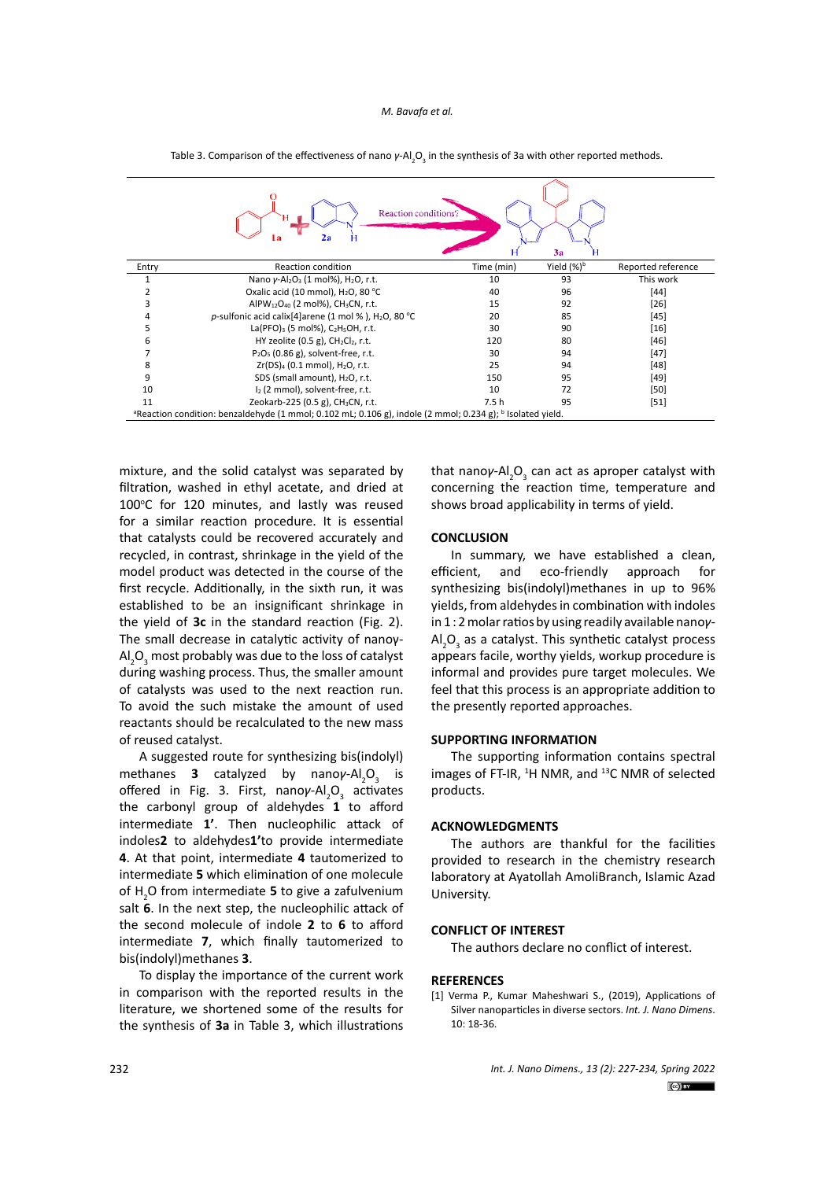| Reaction conditions?<br>Za<br>3a<br>Н                                                                                             |                                                                                |            |                |                    |
|-----------------------------------------------------------------------------------------------------------------------------------|--------------------------------------------------------------------------------|------------|----------------|--------------------|
| Entry                                                                                                                             | <b>Reaction condition</b>                                                      | Time (min) | Yield $(\%)^b$ | Reported reference |
|                                                                                                                                   | Nano $\gamma$ -Al <sub>2</sub> O <sub>3</sub> (1 mol%), H <sub>2</sub> O, r.t. | 10         | 93             | This work          |
| 2                                                                                                                                 | Oxalic acid (10 mmol), H <sub>2</sub> O, 80 °C                                 | 40         | 96             | $[44]$             |
| 3                                                                                                                                 | AIPW <sub>12</sub> O <sub>40</sub> (2 mol%), CH <sub>3</sub> CN, r.t.          | 15         | 92             | $[26]$             |
| 4                                                                                                                                 | p-sulfonic acid calix[4]arene (1 mol %), $H_2O$ , 80 °C                        | 20         | 85             | $[45]$             |
| 5                                                                                                                                 | La(PFO) <sub>3</sub> (5 mol%), $C_2H_5OH$ , r.t.                               | 30         | 90             | $[16]$             |
| 6                                                                                                                                 | HY zeolite $(0.5 g)$ , CH <sub>2</sub> Cl <sub>2</sub> , r.t.                  | 120        | 80             | [46]               |
| 7                                                                                                                                 | $P_2O_5$ (0.86 g), solvent-free, r.t.                                          | 30         | 94             | [47]               |
| 8                                                                                                                                 | $Zr(DS)4$ (0.1 mmol), $H2O$ , r.t.                                             | 25         | 94             | [48]               |
| 9                                                                                                                                 | SDS (small amount), H <sub>2</sub> O, r.t.                                     | 150        | 95             | [49]               |
| 10                                                                                                                                | I <sub>2</sub> (2 mmol), solvent-free, r.t.                                    | 10         | 72             | [50]               |
| 11                                                                                                                                | Zeokarb-225 (0.5 g), CH <sub>3</sub> CN, r.t.                                  | 7.5 h      | 95             | $[51]$             |
| <sup>a</sup> Reaction condition: benzaldehyde (1 mmol; 0.102 mL; 0.106 g), indole (2 mmol; 0.234 g); <sup>b</sup> Isolated yield. |                                                                                |            |                |                    |

Table 3. Comparison of the effectiveness of nano  $\gamma$ -Al<sub>2</sub>O<sub>3</sub> in the synthesis of 3a with other reported methods.

mixture, and the solid catalyst was separated by filtration, washed in ethyl acetate, and dried at 100°C for 120 minutes, and lastly was reused for a similar reaction procedure. It is essential that catalysts could be recovered accurately and recycled, in contrast, shrinkage in the yield of the model product was detected in the course of the first recycle. Additionally, in the sixth run, it was established to be an insignificant shrinkage in the yield of **3c** in the standard reaction (Fig. 2). The small decrease in catalytic activity of nanoγ- $\mathsf{AI}_2\mathsf{O}_3$  most probably was due to the loss of catalyst during washing process. Thus, the smaller amount of catalysts was used to the next reaction run. To avoid the such mistake the amount of used reactants should be recalculated to the new mass of reused catalyst.

A suggested route for synthesizing bis(indolyl) methanes **3** catalyzed by nanoγ-Al<sub>2</sub>O<sub>3</sub> is offered in Fig. 3. First, nanoγ-Al<sub>2</sub>O<sub>3</sub> activates the carbonyl group of aldehydes **1** to afford intermediate **1'**. Then nucleophilic attack of indoles**2** to aldehydes**1'**to provide intermediate **4**. At that point, intermediate **4** tautomerized to intermediate **5** which elimination of one molecule of H<sub>2</sub>O from intermediate 5 to give a zafulvenium salt **6**. In the next step, the nucleophilic attack of the second molecule of indole **2** to **6** to afford intermediate **7**, which finally tautomerized to bis(indolyl)methanes **3**.

To display the importance of the current work in comparison with the reported results in the literature, we shortened some of the results for the synthesis of **3a** in Table 3, which illustrations

that nanoγ-Al<sub>2</sub>O<sub>3</sub> can act as aproper catalyst with concerning the reaction time, temperature and shows broad applicability in terms of yield.

## **CONCLUSION**

In summary, we have established a clean, efficient, and eco-friendly approach for synthesizing bis(indolyl)methanes in up to 96% yields, from aldehydes in combination with indoles in 1 : 2 molar ratios by using readily available nano*γ*- $\mathsf{Al}_2\mathsf{O}_3$  as a catalyst. This synthetic catalyst process appears facile, worthy yields, workup procedure is informal and provides pure target molecules. We feel that this process is an appropriate addition to the presently reported approaches.

## **SUPPORTING INFORMATION**

The supporting information contains spectral images of FT-IR,  ${}^{1}H$  NMR, and  ${}^{13}C$  NMR of selected products.

## **ACKNOWLEDGMENTS**

The authors are thankful for the facilities provided to research in the chemistry research laboratory at Ayatollah AmoliBranch, Islamic Azad University.

## **CONFLICT OF INTEREST**

The authors declare no conflict of interest.

#### **REFERENCES**

[1] Verma P., Kumar Maheshwari S., (2019), Applications of Silver nanoparticles in diverse sectors. *Int. J. Nano Dimens*.  $10.18 - 36$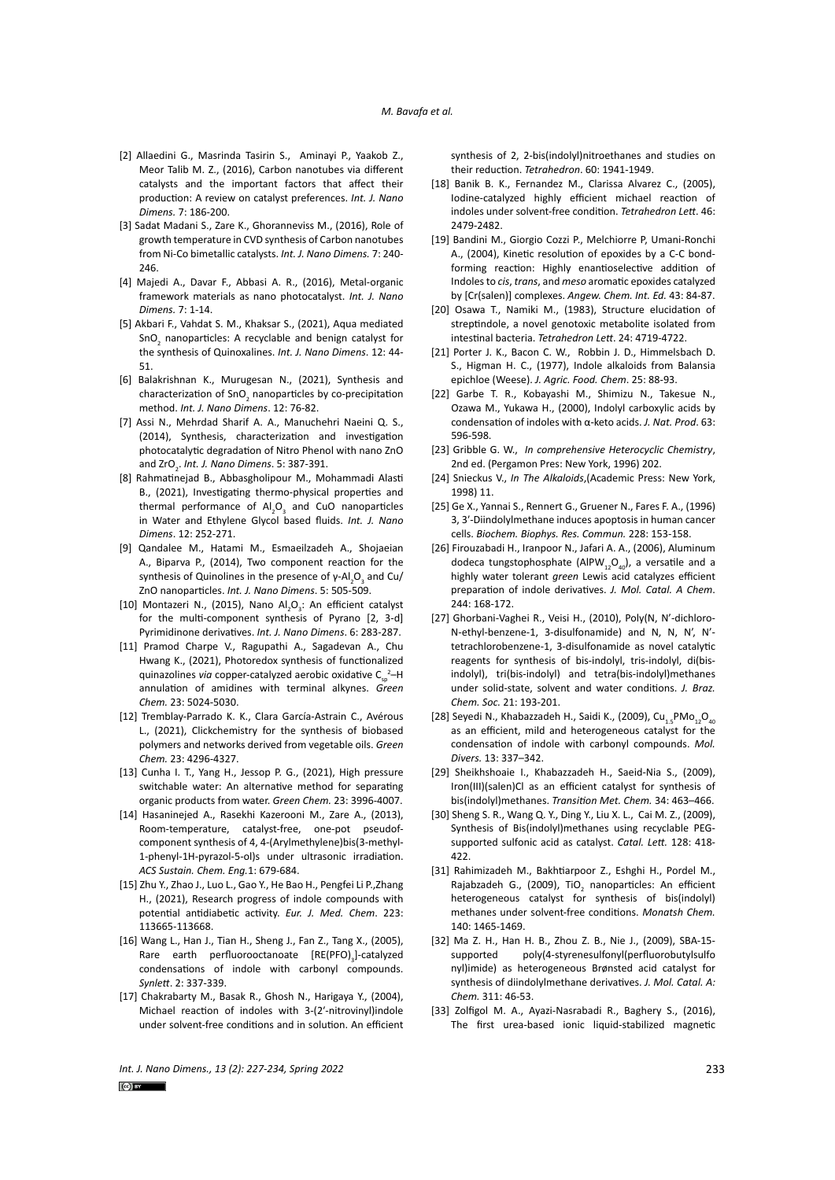- [2] Allaedini G., Masrinda Tasirin S., Aminayi P., Yaakob Z., Meor Talib M. Z., (2016), Carbon nanotubes via different catalysts and the important factors that affect their production: A review on catalyst preferences. *Int. J. Nano Dimens.* 7: 186-200.
- [3] Sadat Madani S., Zare K., Ghoranneviss M., (2016), Role of growth temperature in CVD synthesis of Carbon nanotubes from Ni-Co bimetallic catalysts. *Int. J. Nano Dimens.* 7: 240- 246.
- [4] Majedi A., Davar F., Abbasi A. R., (2016), Metal-organic framework materials as nano photocatalyst. *Int. J. Nano Dimens.* 7: 1-14.
- [5] Akbari F., Vahdat S. M., Khaksar S., (2021), Aqua mediated SnO<sub>2</sub> nanoparticles: A recyclable and benign catalyst for the synthesis of Quinoxalines. *Int. J. Nano Dimens*. 12: 44- 51.
- [6] Balakrishnan K., Murugesan N., (2021), Synthesis and characterization of SnO<sub>2</sub> nanoparticles by co-precipitation method. *Int. J. Nano Dimens*. 12: 76-82.
- [7] Assi N., Mehrdad Sharif A. A., Manuchehri Naeini Q. S., (2014), Synthesis, characterization and investigation photocatalytic degradation of Nitro Phenol with nano ZnO and ZrO2 . *Int. J. Nano Dimens*. 5: 387-391.
- [8] Rahmatinejad B., Abbasgholipour M., Mohammadi Alasti B., (2021), Investigating thermo-physical properties and thermal performance of  $\text{Al}_2\text{O}_3$  and CuO nanoparticles in Water and Ethylene Glycol based fluids. *Int. J. Nano Dimens*. 12: 252-271.
- [9] Qandalee M., Hatami M., Esmaeilzadeh A., Shojaeian A., Biparva P., (2014), Two component reaction for the synthesis of Quinolines in the presence of γ-Al<sub>2</sub>O<sub>3</sub> and Cu/ ZnO nanoparticles. *Int. J. Nano Dimens*. 5: 505-509.
- [10] Montazeri N., (2015), Nano Al<sub>2</sub>O<sub>3</sub>: An efficient catalyst for the multi-component synthesis of Pyrano [2, 3-d] Pyrimidinone derivatives. *Int. J. Nano Dimens*. 6: 283-287.
- [11] Pramod Charpe V., Ragupathi A., Sagadevan A., Chu Hwang K., (2021), Photoredox synthesis of functionalized quinazolines *via* copper-catalyzed aerobic oxidative C<sub>sp</sub><sup>2</sup>-H annulation of amidines with terminal alkynes. *Green Chem.* 23: 5024-5030.
- [12] Tremblay-Parrado K. K., Clara García-Astrain C., Avérous L., (2021), Clickchemistry for the synthesis of biobased polymers and networks derived from vegetable oils. *Green Chem.* 23: 4296-4327.
- [13] Cunha I. T., Yang H., Jessop P. G., (2021), High pressure switchable water: An alternative method for separating organic products from water. *Green Chem.* 23: 3996-4007.
- [14] Hasaninejed A., Rasekhi Kazerooni M., Zare A., (2013), Room-temperature, catalyst-free, one-pot pseudofcomponent synthesis of 4, 4-(Arylmethylene)bis(3-methyl-1-phenyl-1H-pyrazol-5-ol)s under ultrasonic irradiation. *ACS Sustain. Chem. Eng.*1: 679-684.
- [15] Zhu Y., Zhao J., Luo L., Gao Y., He Bao H., Pengfei Li P.,Zhang H., (2021), Research progress of indole compounds with potential antidiabetic activity. *Eur. J. Med. Chem*. 223: 113665-113668.
- [16] Wang L., Han J., Tian H., Sheng J., Fan Z., Tang X., (2005), Rare earth perfluorooctanoate  $[RE(PPO)]_3$ -catalyzed condensations of indole with carbonyl compounds. *Synlett*. 2: 337-339.
- [17] Chakrabarty M., Basak R., Ghosh N., Harigaya Y., (2004), Michael reaction of indoles with 3-(2′-nitrovinyl)indole under solvent-free conditions and in solution. An efficient

synthesis of 2, 2-bis(indolyl)nitroethanes and studies on their reduction. *Tetrahedron*. 60: 1941-1949.

- [18] Banik B. K., Fernandez M., Clarissa Alvarez C., (2005), Iodine-catalyzed highly efficient michael reaction of indoles under solvent-free condition. *Tetrahedron Lett*. 46: 2479-2482.
- [19] Bandini M., Giorgio Cozzi P., Melchiorre P, Umani-Ronchi A., (2004), Kinetic resolution of epoxides by a C-C bondforming reaction: Highly enantioselective addition of Indoles to *cis*, *trans*, and *meso* aromatic epoxides catalyzed by [Cr(salen)] complexes. *Angew. Chem. Int. Ed.* 43: 84-87.
- [20] Osawa T., Namiki M., (1983), Structure elucidation of streptindole, a novel genotoxic metabolite isolated from intestinal bacteria. *Tetrahedron Lett*. 24: 4719-4722.
- [21] Porter J. K., Bacon C. W., Robbin J. D., Himmelsbach D. S., Higman H. C., (1977), Indole alkaloids from Balansia epichloe (Weese). *J. Agric. Food. Chem*. 25: 88-93.
- [22] Garbe T. R., Kobayashi M., Shimizu N., Takesue N., Ozawa M., Yukawa H., (2000), Indolyl carboxylic acids by condensation of indoles with α-keto acids. *J. Nat. Prod*. 63: 596-598.
- [23] Gribble G. W., *In comprehensive Heterocyclic Chemistry*, 2nd ed. (Pergamon Pres: New York, 1996) 202.
- [24] Snieckus V., *In The Alkaloids*,(Academic Press: New York, 1998) 11.
- [25] Ge X., Yannai S., Rennert G., Gruener N., Fares F. A., (1996) 3, 3′-Diindolylmethane induces apoptosis in human cancer cells. *Biochem. Biophys. Res. Commun.* 228: 153-158.
- [26] Firouzabadi H., Iranpoor N., Jafari A. A., (2006), Aluminum dodeca tungstophosphate (AlPW<sub>12</sub>O<sub>40</sub>), a versatile and a highly water tolerant *green* Lewis acid catalyzes efficient preparation of indole derivatives. *J. Mol. Catal. A Chem*. 244: 168-172.
- [27] Ghorbani-Vaghei R., Veisi H., (2010), Poly(N, N'-dichloro-N-ethyl-benzene-1, 3-disulfonamide) and N, N, N', N' tetrachlorobenzene-1, 3-disulfonamide as novel catalytic reagents for synthesis of bis-indolyl, tris-indolyl, di(bisindolyl), tri(bis-indolyl) and tetra(bis-indolyl)methanes under solid-state, solvent and water conditions. *J. Braz. Chem. Soc.* 21: 193-201.
- [28] Seyedi N., Khabazzadeh H., Saidi K., (2009), Cu<sub>1.5</sub>PMo<sub>12</sub>O<sub>40</sub> as an efficient, mild and heterogeneous catalyst for the condensation of indole with carbonyl compounds. *Mol. Divers.* 13: 337–342.
- [29] Sheikhshoaie I., Khabazzadeh H., Saeid-Nia S., (2009), Iron(III)(salen)Cl as an efficient catalyst for synthesis of bis(indolyl)methanes. *Transition Met. Chem.* 34: 463–466.
- [30] Sheng S. R., Wang Q. Y., Ding Y., Liu X. L., Cai M. Z., (2009), Synthesis of Bis(indolyl)methanes using recyclable PEGsupported sulfonic acid as catalyst. *Catal. Lett.* 128: 418- 422.
- [31] Rahimizadeh M., Bakhtiarpoor Z., Eshghi H., Pordel M., Rajabzadeh G., (2009), TiO<sub>2</sub> nanoparticles: An efficient heterogeneous catalyst for synthesis of bis(indolyl) methanes under solvent-free conditions. *Monatsh Chem.* 140: 1465-1469.
- [32] Ma Z. H., Han H. B., Zhou Z. B., Nie J., (2009), SBA-15 supported poly(4-styrenesulfonyl(perfluorobutylsulfo nyl)imide) as heterogeneous Brønsted acid catalyst for synthesis of diindolylmethane derivatives. *J. Mol. Catal. A: Chem.* 311: 46-53.
- [33] Zolfigol M. A., Ayazi-Nasrabadi R., Baghery S., (2016), The first urea-based ionic liquid-stabilized magnetic

*Int. J. Nano Dimens., 13 (2): 227-234, Spring 2022* 233

 $(c)$  BY